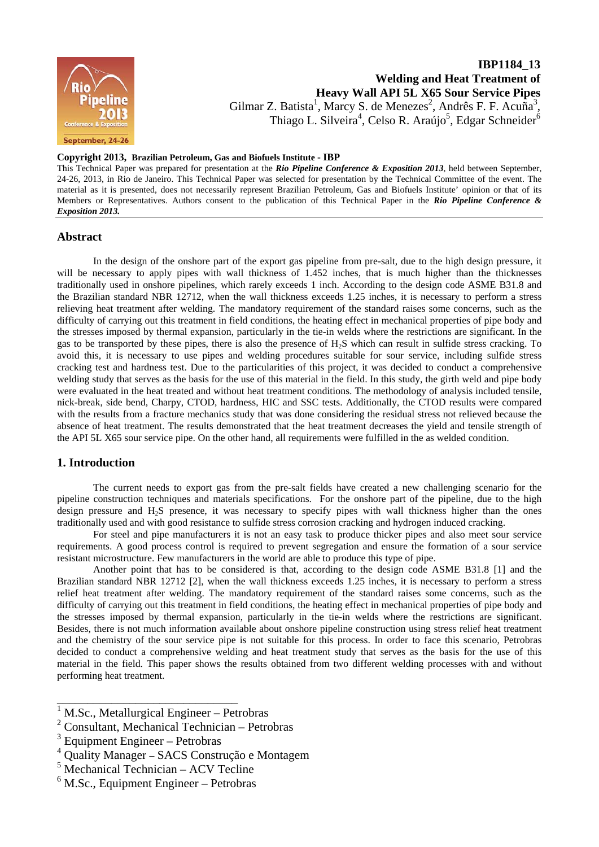

# **IBP1184\_13 Welding and Heat Treatment of Heavy Wall API 5L X65 Sour Service Pipes**  Gilmar Z. Batista<sup>1</sup>, Marcy S. de Menezes<sup>2</sup>, Andrês F. F. Acuña<sup>3</sup>, Thiago L. Silveira<sup>4</sup>, Celso R. Araújo<sup>5</sup>, Edgar Schneider<sup>6</sup>

#### **Copyright 2013, Brazilian Petroleum, Gas and Biofuels Institute - IBP**

This Technical Paper was prepared for presentation at the *Rio Pipeline Conference & Exposition 2013*, held between September, 24-26, 2013, in Rio de Janeiro. This Technical Paper was selected for presentation by the Technical Committee of the event. The material as it is presented, does not necessarily represent Brazilian Petroleum, Gas and Biofuels Institute' opinion or that of its Members or Representatives. Authors consent to the publication of this Technical Paper in the *Rio Pipeline Conference & Exposition 2013.* 

## **Abstract**

In the design of the onshore part of the export gas pipeline from pre-salt, due to the high design pressure, it will be necessary to apply pipes with wall thickness of 1.452 inches, that is much higher than the thicknesses traditionally used in onshore pipelines, which rarely exceeds 1 inch. According to the design code ASME B31.8 and the Brazilian standard NBR 12712, when the wall thickness exceeds 1.25 inches, it is necessary to perform a stress relieving heat treatment after welding. The mandatory requirement of the standard raises some concerns, such as the difficulty of carrying out this treatment in field conditions, the heating effect in mechanical properties of pipe body and the stresses imposed by thermal expansion, particularly in the tie-in welds where the restrictions are significant. In the gas to be transported by these pipes, there is also the presence of  $H_2S$  which can result in sulfide stress cracking. To avoid this, it is necessary to use pipes and welding procedures suitable for sour service, including sulfide stress cracking test and hardness test. Due to the particularities of this project, it was decided to conduct a comprehensive welding study that serves as the basis for the use of this material in the field. In this study, the girth weld and pipe body were evaluated in the heat treated and without heat treatment conditions. The methodology of analysis included tensile, nick-break, side bend, Charpy, CTOD, hardness, HIC and SSC tests. Additionally, the CTOD results were compared with the results from a fracture mechanics study that was done considering the residual stress not relieved because the absence of heat treatment. The results demonstrated that the heat treatment decreases the yield and tensile strength of the API 5L X65 sour service pipe. On the other hand, all requirements were fulfilled in the as welded condition.

#### **1. Introduction**

The current needs to export gas from the pre-salt fields have created a new challenging scenario for the pipeline construction techniques and materials specifications. For the onshore part of the pipeline, due to the high design pressure and H2S presence, it was necessary to specify pipes with wall thickness higher than the ones traditionally used and with good resistance to sulfide stress corrosion cracking and hydrogen induced cracking.

For steel and pipe manufacturers it is not an easy task to produce thicker pipes and also meet sour service requirements. A good process control is required to prevent segregation and ensure the formation of a sour service resistant microstructure. Few manufacturers in the world are able to produce this type of pipe.

Another point that has to be considered is that, according to the design code ASME B31.8 [1] and the Brazilian standard NBR 12712 [2], when the wall thickness exceeds 1.25 inches, it is necessary to perform a stress relief heat treatment after welding. The mandatory requirement of the standard raises some concerns, such as the difficulty of carrying out this treatment in field conditions, the heating effect in mechanical properties of pipe body and the stresses imposed by thermal expansion, particularly in the tie-in welds where the restrictions are significant. Besides, there is not much information available about onshore pipeline construction using stress relief heat treatment and the chemistry of the sour service pipe is not suitable for this process. In order to face this scenario, Petrobras decided to conduct a comprehensive welding and heat treatment study that serves as the basis for the use of this material in the field. This paper shows the results obtained from two different welding processes with and without performing heat treatment.

 $\frac{1}{1}$  M.Sc., Metallurgical Engineer – Petrobras

<sup>2</sup> Consultant, Mechanical Technician – Petrobras

 $3$  Equipment Engineer – Petrobras

<sup>4</sup> Quality Manager **–** SACS Construção e Montagem

<sup>5</sup> Mechanical Technician – ACV Tecline

<sup>&</sup>lt;sup>6</sup> M.Sc., Equipment Engineer – Petrobras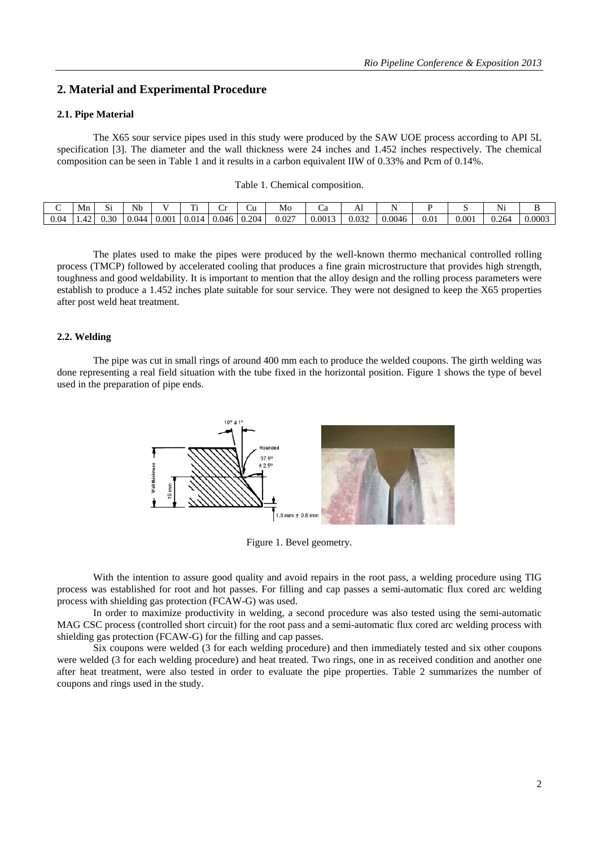### **2. Material and Experimental Procedure**

#### **2.1. Pipe Material**

 The X65 sour service pipes used in this study were produced by the SAW UOE process according to API 5L specification [3]. The diameter and the wall thickness were 24 inches and 1.452 inches respectively. The chemical composition can be seen in Table 1 and it results in a carbon equivalent IIW of 0.33% and Pcm of 0.14%.

|  |  | Table 1. Chemical composition. |
|--|--|--------------------------------|
|--|--|--------------------------------|

|      | Mr           | $\tilde{\phantom{a}}$<br>. | Nb    |       | m.    |       | ∪ù    | Mo    |        | $\rightarrow$ |        |           |           | $\sim$ $\sim$ $\cdot$<br>N |        |
|------|--------------|----------------------------|-------|-------|-------|-------|-------|-------|--------|---------------|--------|-----------|-----------|----------------------------|--------|
| 0.04 | $\sim$<br>┱∠ | J.30                       | 0.044 | 0.001 | 0.014 | 0.046 | 0.204 | 0.027 | 0.0013 | 0.032         | 0.0046 | $_{0.01}$ | $0.001\,$ | 0.264                      | 0.0003 |

 The plates used to make the pipes were produced by the well-known thermo mechanical controlled rolling process (TMCP) followed by accelerated cooling that produces a fine grain microstructure that provides high strength, toughness and good weldability. It is important to mention that the alloy design and the rolling process parameters were establish to produce a 1.452 inches plate suitable for sour service. They were not designed to keep the X65 properties after post weld heat treatment.

#### **2.2. Welding**

 The pipe was cut in small rings of around 400 mm each to produce the welded coupons. The girth welding was done representing a real field situation with the tube fixed in the horizontal position. Figure 1 shows the type of bevel used in the preparation of pipe ends.



Figure 1. Bevel geometry.

 With the intention to assure good quality and avoid repairs in the root pass, a welding procedure using TIG process was established for root and hot passes. For filling and cap passes a semi-automatic flux cored arc welding process with shielding gas protection (FCAW-G) was used.

 In order to maximize productivity in welding, a second procedure was also tested using the semi-automatic MAG CSC process (controlled short circuit) for the root pass and a semi-automatic flux cored arc welding process with shielding gas protection (FCAW-G) for the filling and cap passes.

 Six coupons were welded (3 for each welding procedure) and then immediately tested and six other coupons were welded (3 for each welding procedure) and heat treated. Two rings, one in as received condition and another one after heat treatment, were also tested in order to evaluate the pipe properties. Table 2 summarizes the number of coupons and rings used in the study.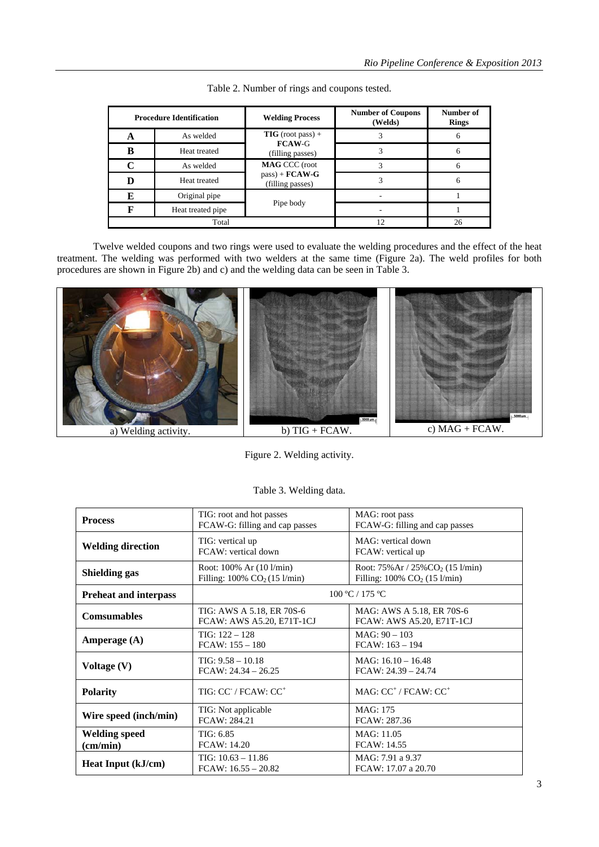|   | <b>Procedure Identification</b> | <b>Welding Process</b>                | <b>Number of Coupons</b><br>(Welds) | Number of<br><b>Rings</b> |  |
|---|---------------------------------|---------------------------------------|-------------------------------------|---------------------------|--|
| A | As welded                       | $TIG (root pass) +$                   |                                     | 6                         |  |
| в | Heat treated                    | <b>FCAW-G</b><br>(filling passes)     |                                     | 6                         |  |
| C | As welded                       | <b>MAG CCC</b> (root                  |                                     | 6                         |  |
| D | Heat treated                    | $pass$ + $FCAW-G$<br>(filling passes) |                                     | 6                         |  |
| Е | Original pipe                   |                                       |                                     |                           |  |
| R | Heat treated pipe               | Pipe body                             |                                     |                           |  |
|   | Total                           | 12                                    | 26                                  |                           |  |

|  |  | Table 2. Number of rings and coupons tested. |  |
|--|--|----------------------------------------------|--|

 Twelve welded coupons and two rings were used to evaluate the welding procedures and the effect of the heat treatment. The welding was performed with two welders at the same time (Figure 2a). The weld profiles for both procedures are shown in Figure 2b) and c) and the welding data can be seen in Table 3.



Figure 2. Welding activity.

| <b>Process</b>                            | TIG: root and hot passes<br>FCAW-G: filling and cap passes                                         | MAG: root pass<br>FCAW-G: filling and cap passes                                                   |  |  |  |
|-------------------------------------------|----------------------------------------------------------------------------------------------------|----------------------------------------------------------------------------------------------------|--|--|--|
| <b>Welding direction</b>                  | TIG: vertical up<br>FCAW: vertical down                                                            | MAG: vertical down<br>FCAW: vertical up                                                            |  |  |  |
| Shielding gas                             | Root: $100\%$ Ar $(10 \frac{\text{I}}{\text{min}})$<br>Filling: $100\%$ CO <sub>2</sub> (15 l/min) | Root: $75\%$ Ar / $25\%$ CO <sub>2</sub> (15 l/min)<br>Filling: $100\%$ CO <sub>2</sub> (15 l/min) |  |  |  |
| <b>Preheat and interpass</b>              | 100 °C / 175 °C                                                                                    |                                                                                                    |  |  |  |
| <b>Comsumables</b>                        | TIG: AWS A 5.18, ER 70S-6<br>FCAW: AWS A5.20, E71T-1CJ                                             | MAG: AWS A 5.18, ER 70S-6<br>FCAW: AWS A5.20, E71T-1CJ                                             |  |  |  |
| Amperage $(A)$                            | $TIG: 122 - 128$<br>$FCAW: 155 - 180$                                                              | $MAG: 90 - 103$<br>$FCAW: 163 - 194$                                                               |  |  |  |
| Voltage (V)                               | $TIG: 9.58 - 10.18$<br>$FCAW: 24.34 - 26.25$                                                       | $MAG: 16.10 - 16.48$<br>$FCAW: 24.39 - 24.74$                                                      |  |  |  |
| <b>Polarity</b>                           | TIG: CC / FCAW: CC <sup>+</sup>                                                                    | MAG: $CC^+/FCAW$ : $CC^+$                                                                          |  |  |  |
| Wire speed (inch/min)                     | TIG: Not applicable<br>FCAW: 284.21                                                                | MAG: 175<br>FCAW: 287.36                                                                           |  |  |  |
| <b>Welding speed</b><br>$\text{(cm/min)}$ | TIG: 6.85<br><b>FCAW: 14.20</b>                                                                    | MAG: 11.05<br><b>FCAW: 14.55</b>                                                                   |  |  |  |
| <b>Heat Input (kJ/cm)</b>                 | $TIG: 10.63 - 11.86$<br>$FCAW: 16.55 - 20.82$                                                      | MAG: 7.91 a 9.37<br>FCAW: 17.07 a 20.70                                                            |  |  |  |

Table 3. Welding data.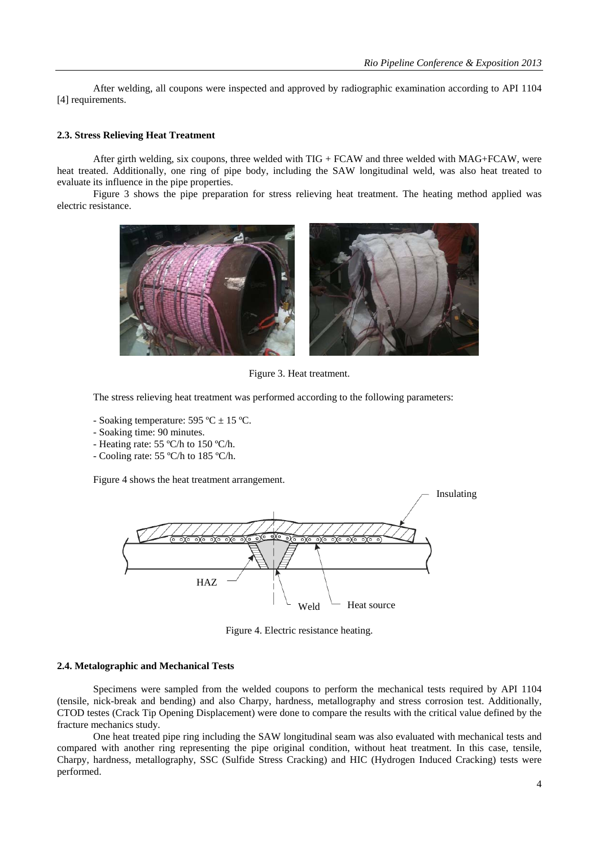After welding, all coupons were inspected and approved by radiographic examination according to API 1104 [4] requirements.

#### **2.3. Stress Relieving Heat Treatment**

After girth welding, six coupons, three welded with  $TIG + FCAW$  and three welded with  $MAG + FCAW$ , were heat treated. Additionally, one ring of pipe body, including the SAW longitudinal weld, was also heat treated to evaluate its influence in the pipe properties.

 Figure 3 shows the pipe preparation for stress relieving heat treatment. The heating method applied was electric resistance.



Figure 3. Heat treatment.

The stress relieving heat treatment was performed according to the following parameters:

- Soaking temperature:  $595 \text{ °C} \pm 15 \text{ °C}$ .
- Soaking time: 90 minutes.
- Heating rate: 55 ºC/h to 150 ºC/h.
- Cooling rate: 55 ºC/h to 185 ºC/h.

Figure 4 shows the heat treatment arrangement.



Figure 4. Electric resistance heating.

#### **2.4. Metalographic and Mechanical Tests**

 Specimens were sampled from the welded coupons to perform the mechanical tests required by API 1104 (tensile, nick-break and bending) and also Charpy, hardness, metallography and stress corrosion test. Additionally, CTOD testes (Crack Tip Opening Displacement) were done to compare the results with the critical value defined by the fracture mechanics study.

 One heat treated pipe ring including the SAW longitudinal seam was also evaluated with mechanical tests and compared with another ring representing the pipe original condition, without heat treatment. In this case, tensile, Charpy, hardness, metallography, SSC (Sulfide Stress Cracking) and HIC (Hydrogen Induced Cracking) tests were performed.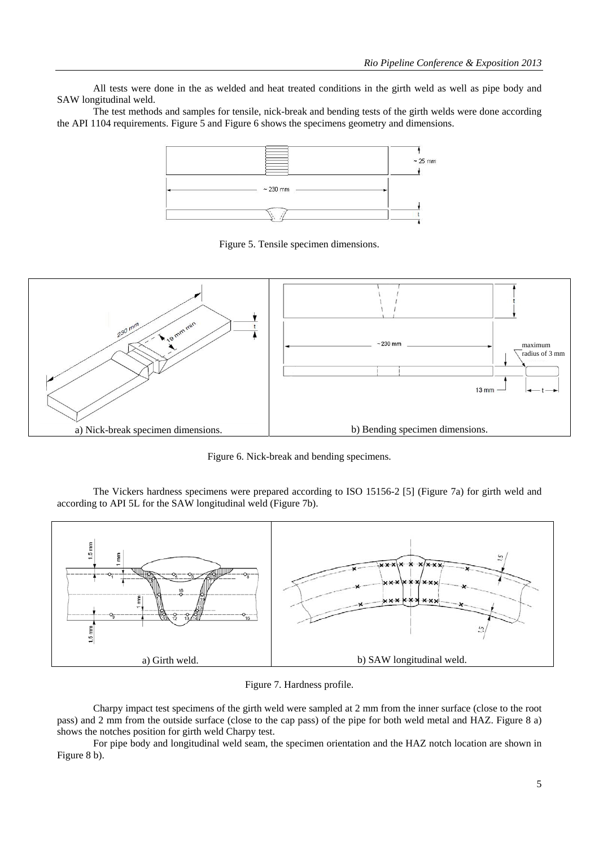All tests were done in the as welded and heat treated conditions in the girth weld as well as pipe body and SAW longitudinal weld.

 The test methods and samples for tensile, nick-break and bending tests of the girth welds were done according the API 1104 requirements. Figure 5 and Figure 6 shows the specimens geometry and dimensions.



Figure 5. Tensile specimen dimensions.



Figure 6. Nick-break and bending specimens.

 The Vickers hardness specimens were prepared according to ISO 15156-2 [5] (Figure 7a) for girth weld and according to API 5L for the SAW longitudinal weld (Figure 7b).



Figure 7. Hardness profile.

 Charpy impact test specimens of the girth weld were sampled at 2 mm from the inner surface (close to the root pass) and 2 mm from the outside surface (close to the cap pass) of the pipe for both weld metal and HAZ. Figure 8 a) shows the notches position for girth weld Charpy test.

 For pipe body and longitudinal weld seam, the specimen orientation and the HAZ notch location are shown in Figure 8 b).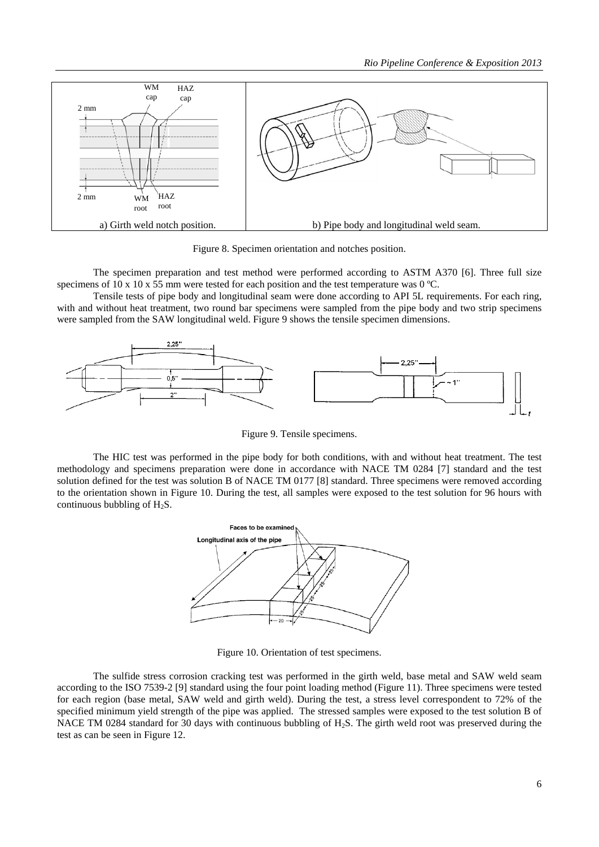

Figure 8. Specimen orientation and notches position.

 The specimen preparation and test method were performed according to ASTM A370 [6]. Three full size specimens of 10 x 10 x 55 mm were tested for each position and the test temperature was 0 °C.

 Tensile tests of pipe body and longitudinal seam were done according to API 5L requirements. For each ring, with and without heat treatment, two round bar specimens were sampled from the pipe body and two strip specimens were sampled from the SAW longitudinal weld. Figure 9 shows the tensile specimen dimensions.



Figure 9. Tensile specimens.

 The HIC test was performed in the pipe body for both conditions, with and without heat treatment. The test methodology and specimens preparation were done in accordance with NACE TM 0284 [7] standard and the test solution defined for the test was solution B of NACE TM 0177 [8] standard. Three specimens were removed according to the orientation shown in Figure 10. During the test, all samples were exposed to the test solution for 96 hours with continuous bubbling of  $H_2S$ .



Figure 10. Orientation of test specimens.

 The sulfide stress corrosion cracking test was performed in the girth weld, base metal and SAW weld seam according to the ISO 7539-2 [9] standard using the four point loading method (Figure 11). Three specimens were tested for each region (base metal, SAW weld and girth weld). During the test, a stress level correspondent to 72% of the specified minimum yield strength of the pipe was applied. The stressed samples were exposed to the test solution B of NACE TM 0284 standard for 30 days with continuous bubbling of H<sub>2</sub>S. The girth weld root was preserved during the test as can be seen in Figure 12.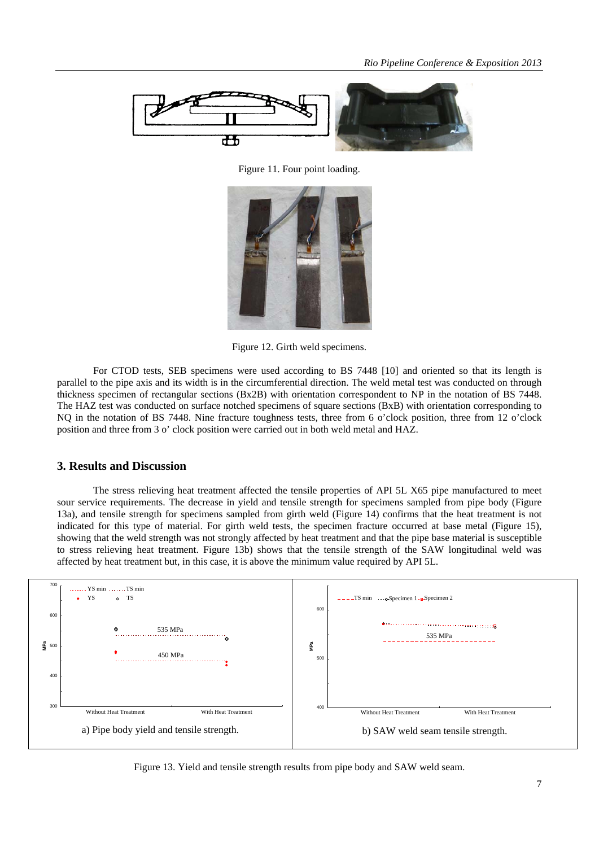

Figure 11. Four point loading.



Figure 12. Girth weld specimens.

 For CTOD tests, SEB specimens were used according to BS 7448 [10] and oriented so that its length is parallel to the pipe axis and its width is in the circumferential direction. The weld metal test was conducted on through thickness specimen of rectangular sections (Bx2B) with orientation correspondent to NP in the notation of BS 7448. The HAZ test was conducted on surface notched specimens of square sections (BxB) with orientation corresponding to NO in the notation of BS 7448. Nine fracture toughness tests, three from 6 o'clock position, three from 12 o'clock position and three from 3 o' clock position were carried out in both weld metal and HAZ.

#### **3. Results and Discussion**

The stress relieving heat treatment affected the tensile properties of API 5L X65 pipe manufactured to meet sour service requirements. The decrease in yield and tensile strength for specimens sampled from pipe body (Figure 13a), and tensile strength for specimens sampled from girth weld (Figure 14) confirms that the heat treatment is not indicated for this type of material. For girth weld tests, the specimen fracture occurred at base metal (Figure 15), showing that the weld strength was not strongly affected by heat treatment and that the pipe base material is susceptible to stress relieving heat treatment. Figure 13b) shows that the tensile strength of the SAW longitudinal weld was affected by heat treatment but, in this case, it is above the minimum value required by API 5L.



Figure 13. Yield and tensile strength results from pipe body and SAW weld seam.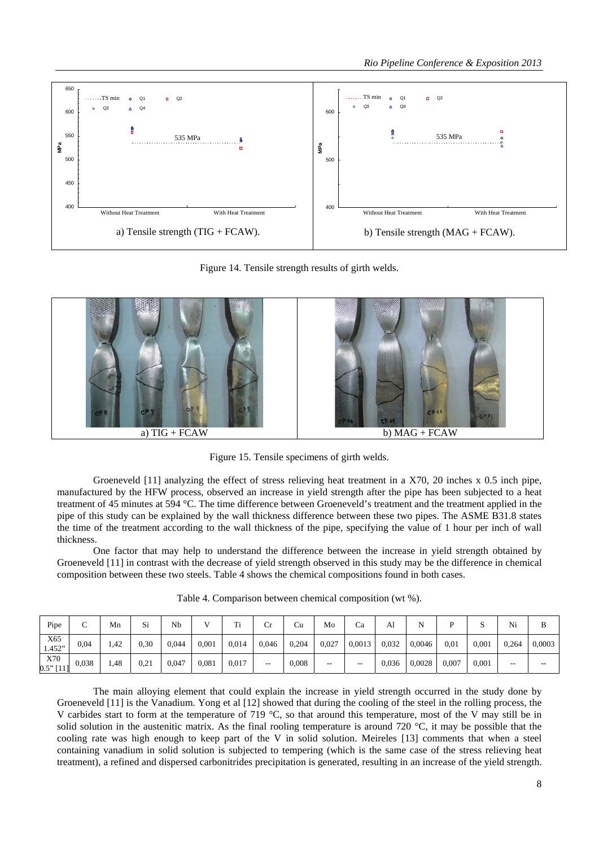

Figure 14. Tensile strength results of girth welds.



Figure 15. Tensile specimens of girth welds.

Groeneveld [11] analyzing the effect of stress relieving heat treatment in a X70, 20 inches x 0.5 inch pipe, manufactured by the HFW process, observed an increase in yield strength after the pipe has been subjected to a heat treatment of 45 minutes at 594 °C. The time difference between Groeneveld's treatment and the treatment applied in the pipe of this study can be explained by the wall thickness difference between these two pipes. The ASME B31.8 states the time of the treatment according to the wall thickness of the pipe, specifying the value of 1 hour per inch of wall thickness.

 One factor that may help to understand the difference between the increase in yield strength obtained by Groeneveld [11] in contrast with the decrease of yield strength observed in this study may be the difference in chemical composition between these two steels. Table 4 shows the chemical compositions found in both cases.

| Pipe               | $\sqrt{ }$<br>◡ | Mn       | Si   | Nb    |       | Тï.<br>11 | ◡                        | Cu    | Mo    | Ca     | Al    | . .    |       | ∼     | Ni    | в      |
|--------------------|-----------------|----------|------|-------|-------|-----------|--------------------------|-------|-------|--------|-------|--------|-------|-------|-------|--------|
| X65<br>1.452"      | 0,04            | $42^{1}$ | 0,30 | 0,044 | 0,001 | 0,014     | 0,046                    | 0,204 | 0.027 | 0,0013 | 0.032 | 0,0046 | 0.01  | 0.001 | 0,264 | 0,0003 |
| X70<br>$0.5"$ [11] | 0.038           | 1.48     | 0.21 | 0,047 | 0,081 | 0,017     | $\overline{\phantom{m}}$ | 0,008 | $- -$ | --     | 0,036 | 0,0028 | 0,007 | 0,001 | $- -$ | $- -$  |

Table 4. Comparison between chemical composition (wt %).

 The main alloying element that could explain the increase in yield strength occurred in the study done by Groeneveld [11] is the Vanadium. Yong et al [12] showed that during the cooling of the steel in the rolling process, the V carbides start to form at the temperature of 719 °C, so that around this temperature, most of the V may still be in solid solution in the austenitic matrix. As the final rooling temperature is around 720  $^{\circ}$ C, it may be possible that the cooling rate was high enough to keep part of the V in solid solution. Meireles [13] comments that when a steel containing vanadium in solid solution is subjected to tempering (which is the same case of the stress relieving heat treatment), a refined and dispersed carbonitrides precipitation is generated, resulting in an increase of the yield strength.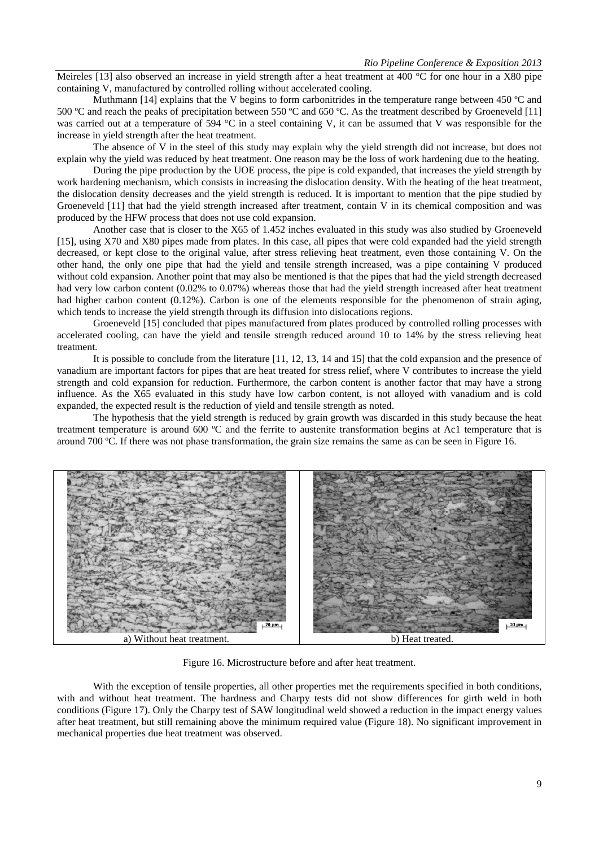Meireles [13] also observed an increase in yield strength after a heat treatment at 400  $^{\circ}$ C for one hour in a X80 pipe containing V, manufactured by controlled rolling without accelerated cooling.

Muthmann [14] explains that the V begins to form carbonitrides in the temperature range between 450 °C and 500 ºC and reach the peaks of precipitation between 550 ºC and 650 ºC. As the treatment described by Groeneveld [11] was carried out at a temperature of 594 °C in a steel containing V, it can be assumed that V was responsible for the increase in yield strength after the heat treatment.

 The absence of V in the steel of this study may explain why the yield strength did not increase, but does not explain why the yield was reduced by heat treatment. One reason may be the loss of work hardening due to the heating.

 During the pipe production by the UOE process, the pipe is cold expanded, that increases the yield strength by work hardening mechanism, which consists in increasing the dislocation density. With the heating of the heat treatment, the dislocation density decreases and the yield strength is reduced. It is important to mention that the pipe studied by Groeneveld [11] that had the yield strength increased after treatment, contain V in its chemical composition and was produced by the HFW process that does not use cold expansion.

 Another case that is closer to the X65 of 1.452 inches evaluated in this study was also studied by Groeneveld [15], using X70 and X80 pipes made from plates. In this case, all pipes that were cold expanded had the yield strength decreased, or kept close to the original value, after stress relieving heat treatment, even those containing V. On the other hand, the only one pipe that had the yield and tensile strength increased, was a pipe containing V produced without cold expansion. Another point that may also be mentioned is that the pipes that had the yield strength decreased had very low carbon content (0.02% to 0.07%) whereas those that had the yield strength increased after heat treatment had higher carbon content (0.12%). Carbon is one of the elements responsible for the phenomenon of strain aging, which tends to increase the yield strength through its diffusion into dislocations regions.

Groeneveld [15] concluded that pipes manufactured from plates produced by controlled rolling processes with accelerated cooling, can have the yield and tensile strength reduced around 10 to 14% by the stress relieving heat treatment.

 It is possible to conclude from the literature [11, 12, 13, 14 and 15] that the cold expansion and the presence of vanadium are important factors for pipes that are heat treated for stress relief, where V contributes to increase the yield strength and cold expansion for reduction. Furthermore, the carbon content is another factor that may have a strong influence. As the X65 evaluated in this study have low carbon content, is not alloyed with vanadium and is cold expanded, the expected result is the reduction of yield and tensile strength as noted.

The hypothesis that the yield strength is reduced by grain growth was discarded in this study because the heat treatment temperature is around 600 ºC and the ferrite to austenite transformation begins at Ac1 temperature that is around 700 ºC. If there was not phase transformation, the grain size remains the same as can be seen in Figure 16.



Figure 16. Microstructure before and after heat treatment.

With the exception of tensile properties, all other properties met the requirements specified in both conditions, with and without heat treatment. The hardness and Charpy tests did not show differences for girth weld in both conditions (Figure 17). Only the Charpy test of SAW longitudinal weld showed a reduction in the impact energy values after heat treatment, but still remaining above the minimum required value (Figure 18). No significant improvement in mechanical properties due heat treatment was observed.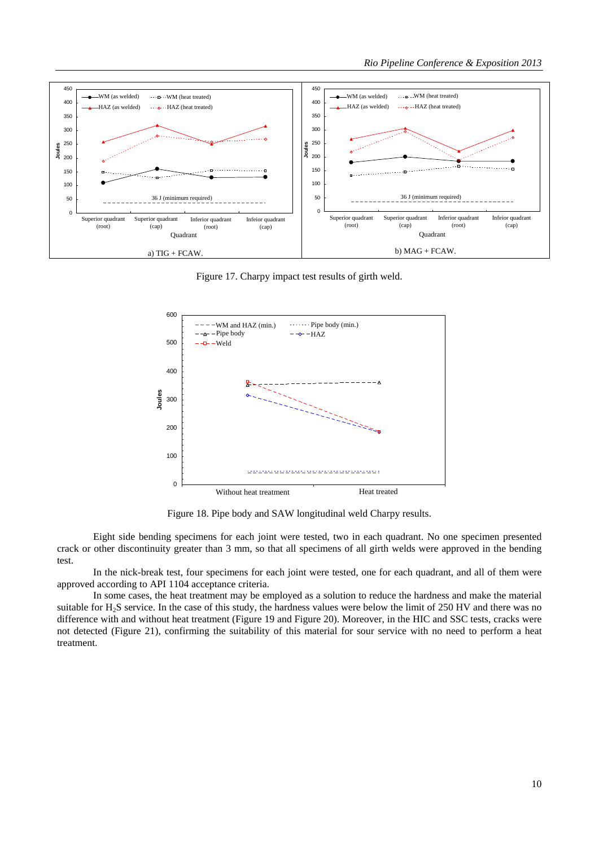

Figure 17. Charpy impact test results of girth weld.



Figure 18. Pipe body and SAW longitudinal weld Charpy results.

Eight side bending specimens for each joint were tested, two in each quadrant. No one specimen presented crack or other discontinuity greater than 3 mm, so that all specimens of all girth welds were approved in the bending test.

 In the nick-break test, four specimens for each joint were tested, one for each quadrant, and all of them were approved according to API 1104 acceptance criteria.

In some cases, the heat treatment may be employed as a solution to reduce the hardness and make the material suitable for H2S service. In the case of this study, the hardness values were below the limit of 250 HV and there was no difference with and without heat treatment (Figure 19 and Figure 20). Moreover, in the HIC and SSC tests, cracks were not detected (Figure 21), confirming the suitability of this material for sour service with no need to perform a heat treatment.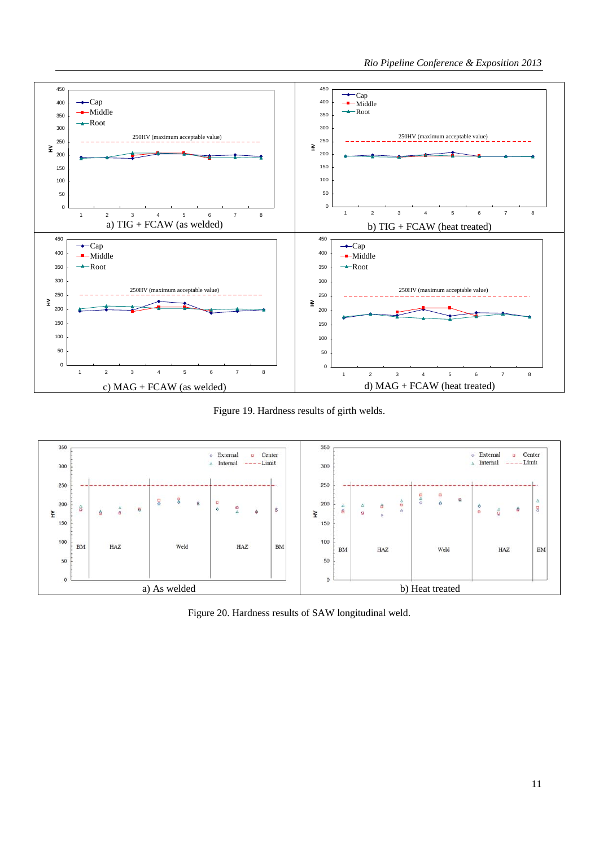

Figure 19. Hardness results of girth welds.



Figure 20. Hardness results of SAW longitudinal weld.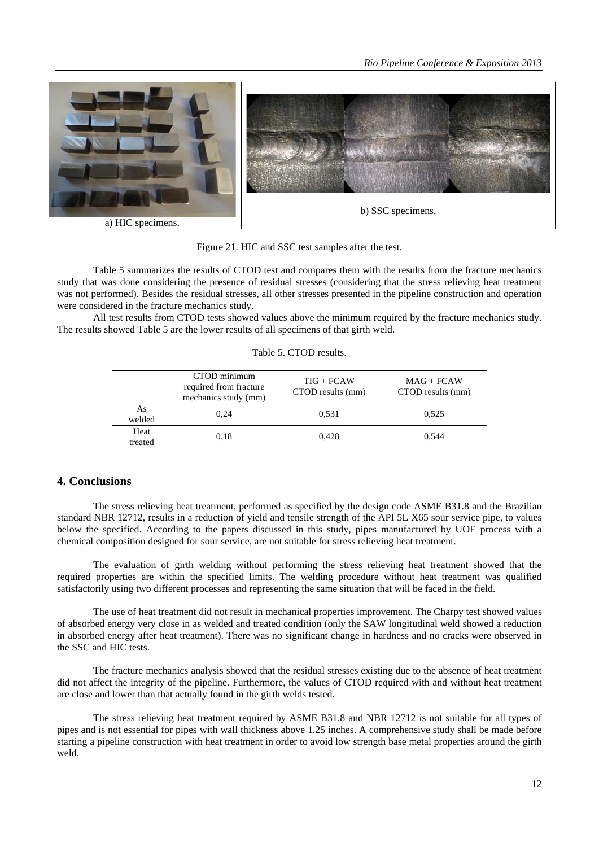

Figure 21. HIC and SSC test samples after the test.

Table 5 summarizes the results of CTOD test and compares them with the results from the fracture mechanics study that was done considering the presence of residual stresses (considering that the stress relieving heat treatment was not performed). Besides the residual stresses, all other stresses presented in the pipeline construction and operation were considered in the fracture mechanics study.

 All test results from CTOD tests showed values above the minimum required by the fracture mechanics study. The results showed Table 5 are the lower results of all specimens of that girth weld.

|                 | CTOD minimum<br>required from fracture<br>mechanics study (mm) | $TIG + FCAW$<br>CTOD results (mm) | $MAG + FCAW$<br>CTOD results (mm) |
|-----------------|----------------------------------------------------------------|-----------------------------------|-----------------------------------|
| As<br>welded    | 0.24                                                           | 0.531                             | 0.525                             |
| Heat<br>treated | 0.18                                                           | 0.428                             | 0.544                             |

# **4. Conclusions**

 The stress relieving heat treatment, performed as specified by the design code ASME B31.8 and the Brazilian standard NBR 12712, results in a reduction of yield and tensile strength of the API 5L X65 sour service pipe, to values below the specified. According to the papers discussed in this study, pipes manufactured by UOE process with a chemical composition designed for sour service, are not suitable for stress relieving heat treatment.

The evaluation of girth welding without performing the stress relieving heat treatment showed that the required properties are within the specified limits. The welding procedure without heat treatment was qualified satisfactorily using two different processes and representing the same situation that will be faced in the field.

The use of heat treatment did not result in mechanical properties improvement. The Charpy test showed values of absorbed energy very close in as welded and treated condition (only the SAW longitudinal weld showed a reduction in absorbed energy after heat treatment). There was no significant change in hardness and no cracks were observed in the SSC and HIC tests.

The fracture mechanics analysis showed that the residual stresses existing due to the absence of heat treatment did not affect the integrity of the pipeline. Furthermore, the values of CTOD required with and without heat treatment are close and lower than that actually found in the girth welds tested.

The stress relieving heat treatment required by ASME B31.8 and NBR 12712 is not suitable for all types of pipes and is not essential for pipes with wall thickness above 1.25 inches. A comprehensive study shall be made before starting a pipeline construction with heat treatment in order to avoid low strength base metal properties around the girth weld.